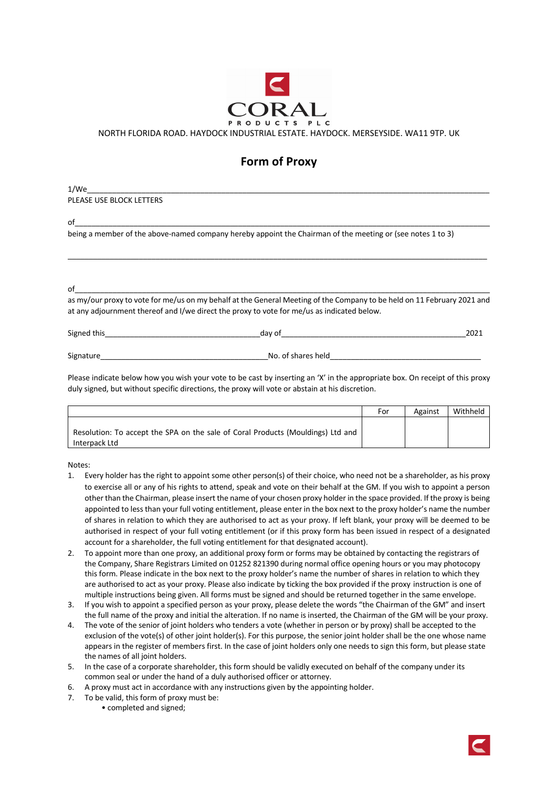

NORTH FLORIDA ROAD. HAYDOCK INDUSTRIAL ESTATE. HAYDOCK. MERSEYSIDE. WA11 9TP. UK

## **Form of Proxy**

1/We\_\_\_\_\_\_\_\_\_\_\_\_\_\_\_\_\_\_\_\_\_\_\_\_\_\_\_\_\_\_\_\_\_\_\_\_\_\_\_\_\_\_\_\_\_\_\_\_\_\_\_\_\_\_\_\_\_\_\_\_\_\_\_\_\_\_\_\_\_\_\_\_\_\_\_\_\_\_\_\_\_\_\_\_\_\_\_\_\_\_\_\_\_\_\_\_ PLEASE USE BLOCK LETTERS

of\_\_\_\_\_\_\_\_\_\_\_\_\_\_\_\_\_\_\_\_\_\_\_\_\_\_\_\_\_\_\_\_\_\_\_\_\_\_\_\_\_\_\_\_\_\_\_\_\_\_\_\_\_\_\_\_\_\_\_\_\_\_\_\_\_\_\_\_\_\_\_\_\_\_\_\_\_\_\_\_\_\_\_\_\_\_\_\_\_\_\_\_\_\_\_\_\_\_\_

being a member of the above-named company hereby appoint the Chairman of the meeting or (see notes 1 to 3)

of\_\_\_\_\_\_\_\_\_\_\_\_\_\_\_\_\_\_\_\_\_\_\_\_\_\_\_\_\_\_\_\_\_\_\_\_\_\_\_\_\_\_\_\_\_\_\_\_\_\_\_\_\_\_\_\_\_\_\_\_\_\_\_\_\_\_\_\_\_\_\_\_\_\_\_\_\_\_\_\_\_\_\_\_\_\_\_\_\_\_\_\_\_\_\_\_\_\_\_

as my/our proxy to vote for me/us on my behalf at the General Meeting of the Company to be held on 11 February 2021 and at any adjournment thereof and I/we direct the proxy to vote for me/us as indicated below.

\_\_\_\_\_\_\_\_\_\_\_\_\_\_\_\_\_\_\_\_\_\_\_\_\_\_\_\_\_\_\_\_\_\_\_\_\_\_\_\_\_\_\_\_\_\_\_\_\_\_\_\_\_\_\_\_\_\_\_\_\_\_\_\_\_\_\_\_\_\_\_\_\_\_\_\_\_\_\_\_\_\_\_\_\_\_\_\_\_\_\_\_\_\_\_\_\_\_\_\_

Signed this and the state of the state of the state of the state of the state of the state of the state of the state of the state of the state of the state of the state of the state of the state of the state of the state o

Signature example and the state of shares held  $\Box$  No. of shares held

Please indicate below how you wish your vote to be cast by inserting an 'X' in the appropriate box. On receipt of this proxy duly signed, but without specific directions, the proxy will vote or abstain at his discretion.

|                                                                                 | For | Against | Withheld |
|---------------------------------------------------------------------------------|-----|---------|----------|
| Resolution: To accept the SPA on the sale of Coral Products (Mouldings) Ltd and |     |         |          |
| Interpack Ltd                                                                   |     |         |          |

Notes:

- 1. Every holder has the right to appoint some other person(s) of their choice, who need not be a shareholder, as his proxy to exercise all or any of his rights to attend, speak and vote on their behalf at the GM. If you wish to appoint a person other than the Chairman, please insert the name of your chosen proxy holder in the space provided. If the proxy is being appointed to less than your full voting entitlement, please enter in the box next to the proxy holder's name the number of shares in relation to which they are authorised to act as your proxy. If left blank, your proxy will be deemed to be authorised in respect of your full voting entitlement (or if this proxy form has been issued in respect of a designated account for a shareholder, the full voting entitlement for that designated account).
- 2. To appoint more than one proxy, an additional proxy form or forms may be obtained by contacting the registrars of the Company, Share Registrars Limited on 01252 821390 during normal office opening hours or you may photocopy this form. Please indicate in the box next to the proxy holder's name the number of shares in relation to which they are authorised to act as your proxy. Please also indicate by ticking the box provided if the proxy instruction is one of multiple instructions being given. All forms must be signed and should be returned together in the same envelope.
- 3. If you wish to appoint a specified person as your proxy, please delete the words "the Chairman of the GM" and insert the full name of the proxy and initial the alteration. If no name is inserted, the Chairman of the GM will be your proxy.
- 4. The vote of the senior of joint holders who tenders a vote (whether in person or by proxy) shall be accepted to the exclusion of the vote(s) of other joint holder(s). For this purpose, the senior joint holder shall be the one whose name appears in the register of members first. In the case of joint holders only one needs to sign this form, but please state the names of all joint holders.
- 5. In the case of a corporate shareholder, this form should be validly executed on behalf of the company under its common seal or under the hand of a duly authorised officer or attorney.
- 6. A proxy must act in accordance with any instructions given by the appointing holder.
- 7. To be valid, this form of proxy must be:
	- completed and signed;